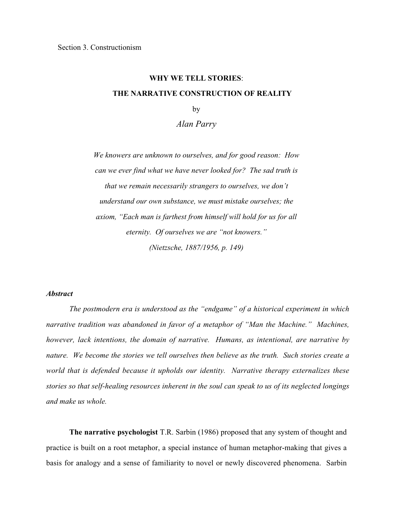### **WHY WE TELL STORIES**:

## **THE NARRATIVE CONSTRUCTION OF REALITY**

by

*Alan Parry*

*We knowers are unknown to ourselves, and for good reason: How can we ever find what we have never looked for? The sad truth is that we remain necessarily strangers to ourselves, we don't understand our own substance, we must mistake ourselves; the axiom, "Each man is farthest from himself will hold for us for all eternity. Of ourselves we are "not knowers." (Nietzsche, 1887/1956, p. 149)*

### *Abstract*

*The postmodern era is understood as the "endgame" of a historical experiment in which narrative tradition was abandoned in favor of a metaphor of "Man the Machine." Machines, however, lack intentions, the domain of narrative. Humans, as intentional, are narrative by nature. We become the stories we tell ourselves then believe as the truth. Such stories create a world that is defended because it upholds our identity. Narrative therapy externalizes these stories so that self-healing resources inherent in the soul can speak to us of its neglected longings and make us whole.*

**The narrative psychologist** T.R. Sarbin (1986) proposed that any system of thought and practice is built on a root metaphor, a special instance of human metaphor-making that gives a basis for analogy and a sense of familiarity to novel or newly discovered phenomena. Sarbin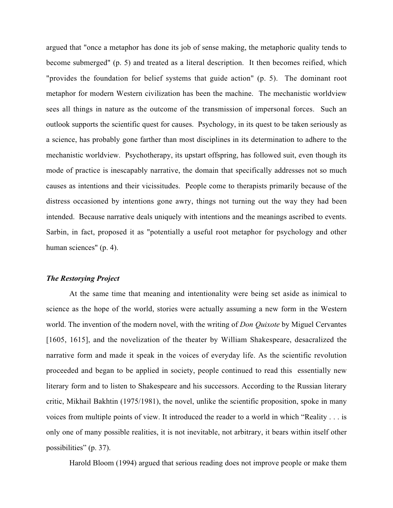argued that "once a metaphor has done its job of sense making, the metaphoric quality tends to become submerged" (p. 5) and treated as a literal description. It then becomes reified, which "provides the foundation for belief systems that guide action" (p. 5). The dominant root metaphor for modern Western civilization has been the machine. The mechanistic worldview sees all things in nature as the outcome of the transmission of impersonal forces. Such an outlook supports the scientific quest for causes. Psychology, in its quest to be taken seriously as a science, has probably gone farther than most disciplines in its determination to adhere to the mechanistic worldview. Psychotherapy, its upstart offspring, has followed suit, even though its mode of practice is inescapably narrative, the domain that specifically addresses not so much causes as intentions and their vicissitudes. People come to therapists primarily because of the distress occasioned by intentions gone awry, things not turning out the way they had been intended. Because narrative deals uniquely with intentions and the meanings ascribed to events. Sarbin, in fact, proposed it as "potentially a useful root metaphor for psychology and other human sciences" (p. 4).

## *The Restorying Project*

At the same time that meaning and intentionality were being set aside as inimical to science as the hope of the world, stories were actually assuming a new form in the Western world. The invention of the modern novel, with the writing of *Don Quixote* by Miguel Cervantes [1605, 1615], and the novelization of the theater by William Shakespeare, desacralized the narrative form and made it speak in the voices of everyday life. As the scientific revolution proceeded and began to be applied in society, people continued to read this essentially new literary form and to listen to Shakespeare and his successors. According to the Russian literary critic, Mikhail Bakhtin (1975/1981), the novel, unlike the scientific proposition, spoke in many voices from multiple points of view. It introduced the reader to a world in which "Reality . . . is only one of many possible realities, it is not inevitable, not arbitrary, it bears within itself other possibilities" (p. 37).

Harold Bloom (1994) argued that serious reading does not improve people or make them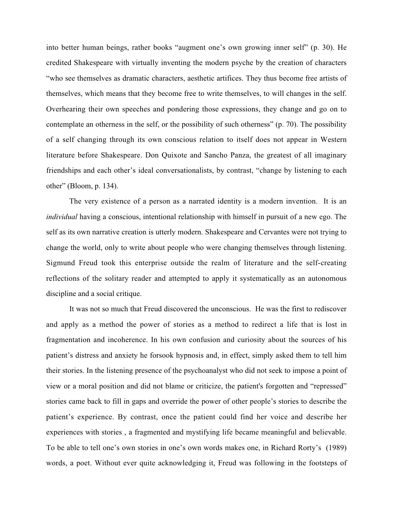into better human beings, rather books "augment one's own growing inner self" (p. 30). He credited Shakespeare with virtually inventing the modern psyche by the creation of characters "who see themselves as dramatic characters, aesthetic artifices. They thus become free artists of themselves, which means that they become free to write themselves, to will changes in the self. Overhearing their own speeches and pondering those expressions, they change and go on to contemplate an otherness in the self, or the possibility of such otherness" (p. 70). The possibility of a self changing through its own conscious relation to itself does not appear in Western literature before Shakespeare. Don Quixote and Sancho Panza, the greatest of all imaginary friendships and each other's ideal conversationalists, by contrast, "change by listening to each other" (Bloom, p. 134).

The very existence of a person as a narrated identity is a modern invention. It is an *individual* having a conscious, intentional relationship with himself in pursuit of a new ego. The self as its own narrative creation is utterly modern. Shakespeare and Cervantes were not trying to change the world, only to write about people who were changing themselves through listening. Sigmund Freud took this enterprise outside the realm of literature and the self-creating reflections of the solitary reader and attempted to apply it systematically as an autonomous discipline and a social critique.

It was not so much that Freud discovered the unconscious. He was the first to rediscover and apply as a method the power of stories as a method to redirect a life that is lost in fragmentation and incoherence. In his own confusion and curiosity about the sources of his patient's distress and anxiety he forsook hypnosis and, in effect, simply asked them to tell him their stories. In the listening presence of the psychoanalyst who did not seek to impose a point of view or a moral position and did not blame or criticize, the patient's forgotten and "repressed" stories came back to fill in gaps and override the power of other people's stories to describe the patient's experience. By contrast, once the patient could find her voice and describe her experiences with stories , a fragmented and mystifying life became meaningful and believable. To be able to tell one's own stories in one's own words makes one, in Richard Rorty's (1989) words, a poet. Without ever quite acknowledging it, Freud was following in the footsteps of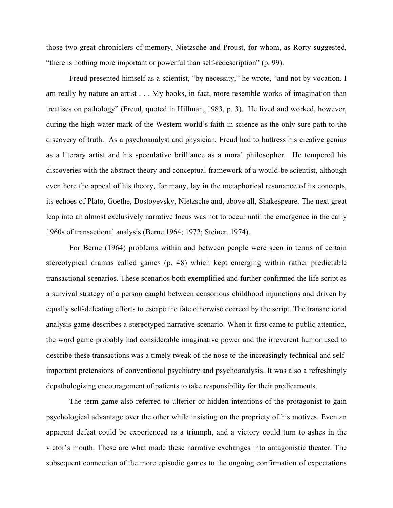those two great chroniclers of memory, Nietzsche and Proust, for whom, as Rorty suggested, "there is nothing more important or powerful than self-redescription" (p. 99).

Freud presented himself as a scientist, "by necessity," he wrote, "and not by vocation. I am really by nature an artist . . . My books, in fact, more resemble works of imagination than treatises on pathology" (Freud, quoted in Hillman, 1983, p. 3). He lived and worked, however, during the high water mark of the Western world's faith in science as the only sure path to the discovery of truth. As a psychoanalyst and physician, Freud had to buttress his creative genius as a literary artist and his speculative brilliance as a moral philosopher. He tempered his discoveries with the abstract theory and conceptual framework of a would-be scientist, although even here the appeal of his theory, for many, lay in the metaphorical resonance of its concepts, its echoes of Plato, Goethe, Dostoyevsky, Nietzsche and, above all, Shakespeare. The next great leap into an almost exclusively narrative focus was not to occur until the emergence in the early 1960s of transactional analysis (Berne 1964; 1972; Steiner, 1974).

For Berne (1964) problems within and between people were seen in terms of certain stereotypical dramas called games (p. 48) which kept emerging within rather predictable transactional scenarios. These scenarios both exemplified and further confirmed the life script as a survival strategy of a person caught between censorious childhood injunctions and driven by equally self-defeating efforts to escape the fate otherwise decreed by the script. The transactional analysis game describes a stereotyped narrative scenario. When it first came to public attention, the word game probably had considerable imaginative power and the irreverent humor used to describe these transactions was a timely tweak of the nose to the increasingly technical and selfimportant pretensions of conventional psychiatry and psychoanalysis. It was also a refreshingly depathologizing encouragement of patients to take responsibility for their predicaments.

The term game also referred to ulterior or hidden intentions of the protagonist to gain psychological advantage over the other while insisting on the propriety of his motives. Even an apparent defeat could be experienced as a triumph, and a victory could turn to ashes in the victor's mouth. These are what made these narrative exchanges into antagonistic theater. The subsequent connection of the more episodic games to the ongoing confirmation of expectations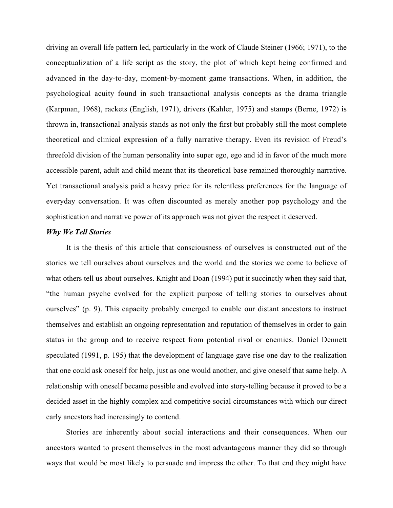driving an overall life pattern led, particularly in the work of Claude Steiner (1966; 1971), to the conceptualization of a life script as the story, the plot of which kept being confirmed and advanced in the day-to-day, moment-by-moment game transactions. When, in addition, the psychological acuity found in such transactional analysis concepts as the drama triangle (Karpman, 1968), rackets (English, 1971), drivers (Kahler, 1975) and stamps (Berne, 1972) is thrown in, transactional analysis stands as not only the first but probably still the most complete theoretical and clinical expression of a fully narrative therapy. Even its revision of Freud's threefold division of the human personality into super ego, ego and id in favor of the much more accessible parent, adult and child meant that its theoretical base remained thoroughly narrative. Yet transactional analysis paid a heavy price for its relentless preferences for the language of everyday conversation. It was often discounted as merely another pop psychology and the sophistication and narrative power of its approach was not given the respect it deserved.

### *Why We Tell Stories*

It is the thesis of this article that consciousness of ourselves is constructed out of the stories we tell ourselves about ourselves and the world and the stories we come to believe of what others tell us about ourselves. Knight and Doan (1994) put it succinctly when they said that, "the human psyche evolved for the explicit purpose of telling stories to ourselves about ourselves" (p. 9). This capacity probably emerged to enable our distant ancestors to instruct themselves and establish an ongoing representation and reputation of themselves in order to gain status in the group and to receive respect from potential rival or enemies. Daniel Dennett speculated (1991, p. 195) that the development of language gave rise one day to the realization that one could ask oneself for help, just as one would another, and give oneself that same help. A relationship with oneself became possible and evolved into story-telling because it proved to be a decided asset in the highly complex and competitive social circumstances with which our direct early ancestors had increasingly to contend.

Stories are inherently about social interactions and their consequences. When our ancestors wanted to present themselves in the most advantageous manner they did so through ways that would be most likely to persuade and impress the other. To that end they might have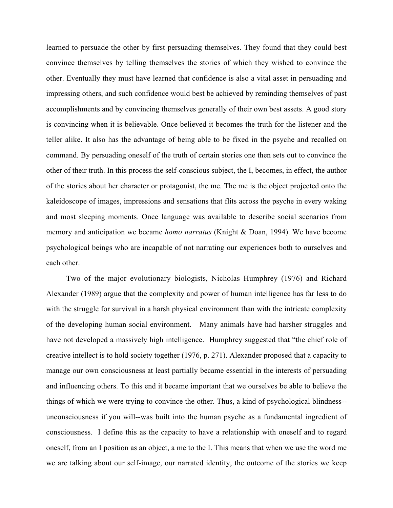learned to persuade the other by first persuading themselves. They found that they could best convince themselves by telling themselves the stories of which they wished to convince the other. Eventually they must have learned that confidence is also a vital asset in persuading and impressing others, and such confidence would best be achieved by reminding themselves of past accomplishments and by convincing themselves generally of their own best assets. A good story is convincing when it is believable. Once believed it becomes the truth for the listener and the teller alike. It also has the advantage of being able to be fixed in the psyche and recalled on command. By persuading oneself of the truth of certain stories one then sets out to convince the other of their truth. In this process the self-conscious subject, the I, becomes, in effect, the author of the stories about her character or protagonist, the me. The me is the object projected onto the kaleidoscope of images, impressions and sensations that flits across the psyche in every waking and most sleeping moments. Once language was available to describe social scenarios from memory and anticipation we became *homo narratus* (Knight & Doan, 1994). We have become psychological beings who are incapable of not narrating our experiences both to ourselves and each other.

Two of the major evolutionary biologists, Nicholas Humphrey (1976) and Richard Alexander (1989) argue that the complexity and power of human intelligence has far less to do with the struggle for survival in a harsh physical environment than with the intricate complexity of the developing human social environment. Many animals have had harsher struggles and have not developed a massively high intelligence. Humphrey suggested that "the chief role of creative intellect is to hold society together (1976, p. 271). Alexander proposed that a capacity to manage our own consciousness at least partially became essential in the interests of persuading and influencing others. To this end it became important that we ourselves be able to believe the things of which we were trying to convince the other. Thus, a kind of psychological blindness- unconsciousness if you will--was built into the human psyche as a fundamental ingredient of consciousness. I define this as the capacity to have a relationship with oneself and to regard oneself, from an I position as an object, a me to the I. This means that when we use the word me we are talking about our self-image, our narrated identity, the outcome of the stories we keep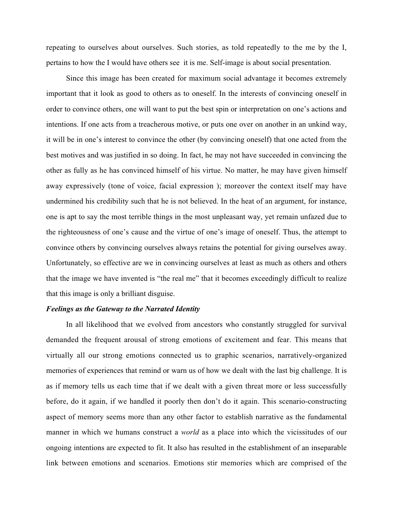repeating to ourselves about ourselves. Such stories, as told repeatedly to the me by the I, pertains to how the I would have others see it is me. Self-image is about social presentation.

Since this image has been created for maximum social advantage it becomes extremely important that it look as good to others as to oneself. In the interests of convincing oneself in order to convince others, one will want to put the best spin or interpretation on one's actions and intentions. If one acts from a treacherous motive, or puts one over on another in an unkind way, it will be in one's interest to convince the other (by convincing oneself) that one acted from the best motives and was justified in so doing. In fact, he may not have succeeded in convincing the other as fully as he has convinced himself of his virtue. No matter, he may have given himself away expressively (tone of voice, facial expression ); moreover the context itself may have undermined his credibility such that he is not believed. In the heat of an argument, for instance, one is apt to say the most terrible things in the most unpleasant way, yet remain unfazed due to the righteousness of one's cause and the virtue of one's image of oneself. Thus, the attempt to convince others by convincing ourselves always retains the potential for giving ourselves away. Unfortunately, so effective are we in convincing ourselves at least as much as others and others that the image we have invented is "the real me" that it becomes exceedingly difficult to realize that this image is only a brilliant disguise.

#### *Feelings as the Gateway to the Narrated Identity*

In all likelihood that we evolved from ancestors who constantly struggled for survival demanded the frequent arousal of strong emotions of excitement and fear. This means that virtually all our strong emotions connected us to graphic scenarios, narratively-organized memories of experiences that remind or warn us of how we dealt with the last big challenge. It is as if memory tells us each time that if we dealt with a given threat more or less successfully before, do it again, if we handled it poorly then don't do it again. This scenario-constructing aspect of memory seems more than any other factor to establish narrative as the fundamental manner in which we humans construct a *world* as a place into which the vicissitudes of our ongoing intentions are expected to fit. It also has resulted in the establishment of an inseparable link between emotions and scenarios. Emotions stir memories which are comprised of the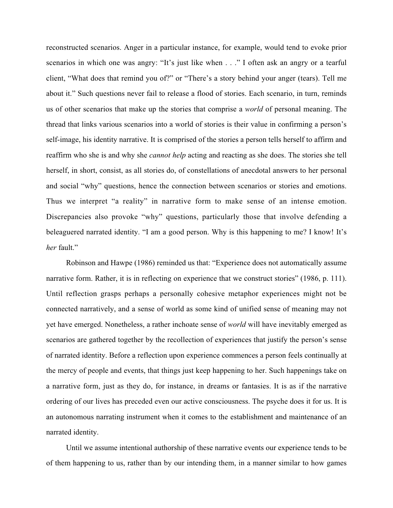reconstructed scenarios. Anger in a particular instance, for example, would tend to evoke prior scenarios in which one was angry: "It's just like when . . ." I often ask an angry or a tearful client, "What does that remind you of?" or "There's a story behind your anger (tears). Tell me about it." Such questions never fail to release a flood of stories. Each scenario, in turn, reminds us of other scenarios that make up the stories that comprise a *world* of personal meaning. The thread that links various scenarios into a world of stories is their value in confirming a person's self-image, his identity narrative. It is comprised of the stories a person tells herself to affirm and reaffirm who she is and why she *cannot help* acting and reacting as she does. The stories she tell herself, in short, consist, as all stories do, of constellations of anecdotal answers to her personal and social "why" questions, hence the connection between scenarios or stories and emotions. Thus we interpret "a reality" in narrative form to make sense of an intense emotion. Discrepancies also provoke "why" questions, particularly those that involve defending a beleaguered narrated identity. "I am a good person. Why is this happening to me? I know! It's *her* fault."

Robinson and Hawpe (1986) reminded us that: "Experience does not automatically assume narrative form. Rather, it is in reflecting on experience that we construct stories" (1986, p. 111). Until reflection grasps perhaps a personally cohesive metaphor experiences might not be connected narratively, and a sense of world as some kind of unified sense of meaning may not yet have emerged. Nonetheless, a rather inchoate sense of *world* will have inevitably emerged as scenarios are gathered together by the recollection of experiences that justify the person's sense of narrated identity. Before a reflection upon experience commences a person feels continually at the mercy of people and events, that things just keep happening to her. Such happenings take on a narrative form, just as they do, for instance, in dreams or fantasies. It is as if the narrative ordering of our lives has preceded even our active consciousness. The psyche does it for us. It is an autonomous narrating instrument when it comes to the establishment and maintenance of an narrated identity.

Until we assume intentional authorship of these narrative events our experience tends to be of them happening to us, rather than by our intending them, in a manner similar to how games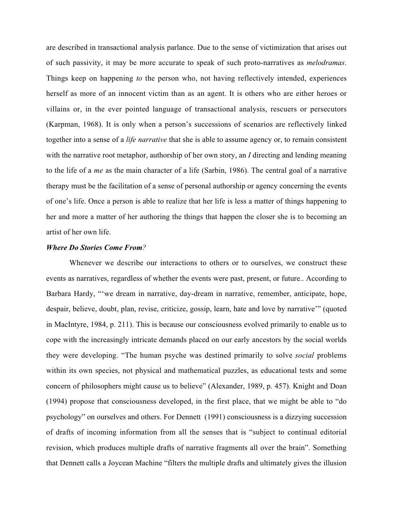are described in transactional analysis parlance. Due to the sense of victimization that arises out of such passivity, it may be more accurate to speak of such proto-narratives as *melodramas*. Things keep on happening *to* the person who, not having reflectively intended, experiences herself as more of an innocent victim than as an agent. It is others who are either heroes or villains or, in the ever pointed language of transactional analysis, rescuers or persecutors (Karpman, 1968). It is only when a person's successions of scenarios are reflectively linked together into a sense of a *life narrative* that she is able to assume agency or, to remain consistent with the narrative root metaphor, authorship of her own story, an *I* directing and lending meaning to the life of a *me* as the main character of a life (Sarbin, 1986). The central goal of a narrative therapy must be the facilitation of a sense of personal authorship or agency concerning the events of one's life. Once a person is able to realize that her life is less a matter of things happening to her and more a matter of her authoring the things that happen the closer she is to becoming an artist of her own life.

#### *Where Do Stories Come From?*

Whenever we describe our interactions to others or to ourselves, we construct these events as narratives, regardless of whether the events were past, present, or future.. According to Barbara Hardy, "'we dream in narrative, day-dream in narrative, remember, anticipate, hope, despair, believe, doubt, plan, revise, criticize, gossip, learn, hate and love by narrative'" (quoted in MacIntyre, 1984, p. 211). This is because our consciousness evolved primarily to enable us to cope with the increasingly intricate demands placed on our early ancestors by the social worlds they were developing. "The human psyche was destined primarily to solve *social* problems within its own species, not physical and mathematical puzzles, as educational tests and some concern of philosophers might cause us to believe" (Alexander, 1989, p. 457). Knight and Doan (1994) propose that consciousness developed, in the first place, that we might be able to "do psychology" on ourselves and others. For Dennett (1991) consciousness is a dizzying succession of drafts of incoming information from all the senses that is "subject to continual editorial revision, which produces multiple drafts of narrative fragments all over the brain". Something that Dennett calls a Joycean Machine "filters the multiple drafts and ultimately gives the illusion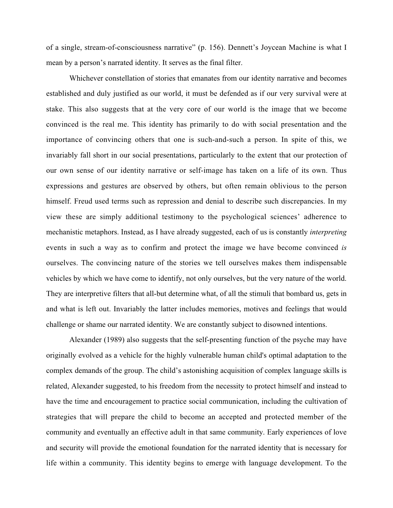of a single, stream-of-consciousness narrative" (p. 156). Dennett's Joycean Machine is what I mean by a person's narrated identity. It serves as the final filter.

Whichever constellation of stories that emanates from our identity narrative and becomes established and duly justified as our world, it must be defended as if our very survival were at stake. This also suggests that at the very core of our world is the image that we become convinced is the real me. This identity has primarily to do with social presentation and the importance of convincing others that one is such-and-such a person. In spite of this, we invariably fall short in our social presentations, particularly to the extent that our protection of our own sense of our identity narrative or self-image has taken on a life of its own. Thus expressions and gestures are observed by others, but often remain oblivious to the person himself. Freud used terms such as repression and denial to describe such discrepancies. In my view these are simply additional testimony to the psychological sciences' adherence to mechanistic metaphors. Instead, as I have already suggested, each of us is constantly *interpreting* events in such a way as to confirm and protect the image we have become convinced *is* ourselves. The convincing nature of the stories we tell ourselves makes them indispensable vehicles by which we have come to identify, not only ourselves, but the very nature of the world. They are interpretive filters that all-but determine what, of all the stimuli that bombard us, gets in and what is left out. Invariably the latter includes memories, motives and feelings that would challenge or shame our narrated identity. We are constantly subject to disowned intentions.

Alexander (1989) also suggests that the self-presenting function of the psyche may have originally evolved as a vehicle for the highly vulnerable human child's optimal adaptation to the complex demands of the group. The child's astonishing acquisition of complex language skills is related, Alexander suggested, to his freedom from the necessity to protect himself and instead to have the time and encouragement to practice social communication, including the cultivation of strategies that will prepare the child to become an accepted and protected member of the community and eventually an effective adult in that same community. Early experiences of love and security will provide the emotional foundation for the narrated identity that is necessary for life within a community. This identity begins to emerge with language development. To the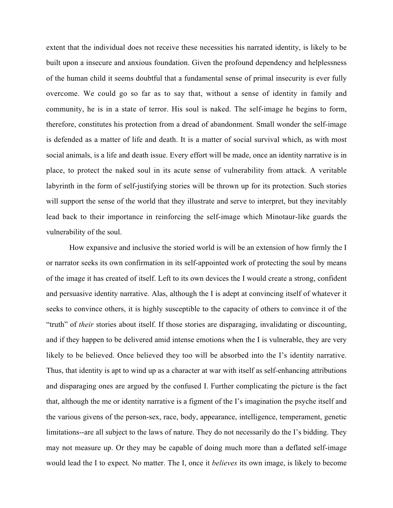extent that the individual does not receive these necessities his narrated identity, is likely to be built upon a insecure and anxious foundation. Given the profound dependency and helplessness of the human child it seems doubtful that a fundamental sense of primal insecurity is ever fully overcome. We could go so far as to say that, without a sense of identity in family and community, he is in a state of terror. His soul is naked. The self-image he begins to form, therefore, constitutes his protection from a dread of abandonment. Small wonder the self-image is defended as a matter of life and death. It is a matter of social survival which, as with most social animals, is a life and death issue. Every effort will be made, once an identity narrative is in place, to protect the naked soul in its acute sense of vulnerability from attack. A veritable labyrinth in the form of self-justifying stories will be thrown up for its protection. Such stories will support the sense of the world that they illustrate and serve to interpret, but they inevitably lead back to their importance in reinforcing the self-image which Minotaur-like guards the vulnerability of the soul.

How expansive and inclusive the storied world is will be an extension of how firmly the I or narrator seeks its own confirmation in its self-appointed work of protecting the soul by means of the image it has created of itself. Left to its own devices the I would create a strong, confident and persuasive identity narrative. Alas, although the I is adept at convincing itself of whatever it seeks to convince others, it is highly susceptible to the capacity of others to convince it of the "truth" of *their* stories about itself. If those stories are disparaging, invalidating or discounting, and if they happen to be delivered amid intense emotions when the I is vulnerable, they are very likely to be believed. Once believed they too will be absorbed into the I's identity narrative. Thus, that identity is apt to wind up as a character at war with itself as self-enhancing attributions and disparaging ones are argued by the confused I. Further complicating the picture is the fact that, although the me or identity narrative is a figment of the I's imagination the psyche itself and the various givens of the person-sex, race, body, appearance, intelligence, temperament, genetic limitations--are all subject to the laws of nature. They do not necessarily do the I's bidding. They may not measure up. Or they may be capable of doing much more than a deflated self-image would lead the I to expect. No matter. The I, once it *believes* its own image, is likely to become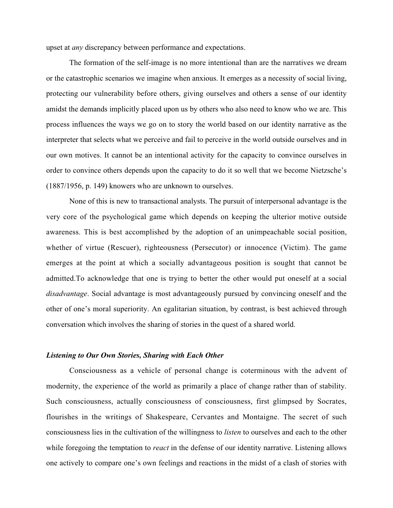upset at *any* discrepancy between performance and expectations.

The formation of the self-image is no more intentional than are the narratives we dream or the catastrophic scenarios we imagine when anxious. It emerges as a necessity of social living, protecting our vulnerability before others, giving ourselves and others a sense of our identity amidst the demands implicitly placed upon us by others who also need to know who we are. This process influences the ways we go on to story the world based on our identity narrative as the interpreter that selects what we perceive and fail to perceive in the world outside ourselves and in our own motives. It cannot be an intentional activity for the capacity to convince ourselves in order to convince others depends upon the capacity to do it so well that we become Nietzsche's (1887/1956, p. 149) knowers who are unknown to ourselves.

None of this is new to transactional analysts. The pursuit of interpersonal advantage is the very core of the psychological game which depends on keeping the ulterior motive outside awareness. This is best accomplished by the adoption of an unimpeachable social position, whether of virtue (Rescuer), righteousness (Persecutor) or innocence (Victim). The game emerges at the point at which a socially advantageous position is sought that cannot be admitted.To acknowledge that one is trying to better the other would put oneself at a social *disadvantage*. Social advantage is most advantageously pursued by convincing oneself and the other of one's moral superiority. An egalitarian situation, by contrast, is best achieved through conversation which involves the sharing of stories in the quest of a shared world.

### *Listening to Our Own Stories, Sharing with Each Other*

Consciousness as a vehicle of personal change is coterminous with the advent of modernity, the experience of the world as primarily a place of change rather than of stability. Such consciousness, actually consciousness of consciousness, first glimpsed by Socrates, flourishes in the writings of Shakespeare, Cervantes and Montaigne. The secret of such consciousness lies in the cultivation of the willingness to *listen* to ourselves and each to the other while foregoing the temptation to *react* in the defense of our identity narrative. Listening allows one actively to compare one's own feelings and reactions in the midst of a clash of stories with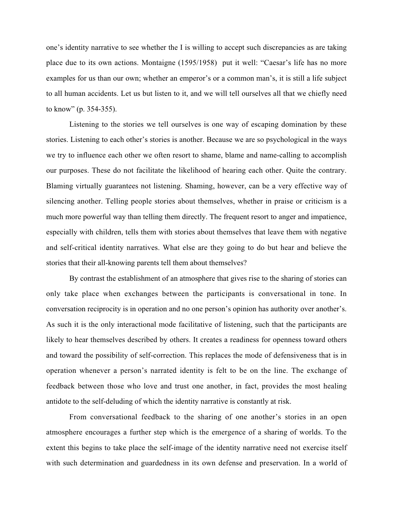one's identity narrative to see whether the I is willing to accept such discrepancies as are taking place due to its own actions. Montaigne (1595/1958) put it well: "Caesar's life has no more examples for us than our own; whether an emperor's or a common man's, it is still a life subject to all human accidents. Let us but listen to it, and we will tell ourselves all that we chiefly need to know" (p. 354-355).

Listening to the stories we tell ourselves is one way of escaping domination by these stories. Listening to each other's stories is another. Because we are so psychological in the ways we try to influence each other we often resort to shame, blame and name-calling to accomplish our purposes. These do not facilitate the likelihood of hearing each other. Quite the contrary. Blaming virtually guarantees not listening. Shaming, however, can be a very effective way of silencing another. Telling people stories about themselves, whether in praise or criticism is a much more powerful way than telling them directly. The frequent resort to anger and impatience, especially with children, tells them with stories about themselves that leave them with negative and self-critical identity narratives. What else are they going to do but hear and believe the stories that their all-knowing parents tell them about themselves?

By contrast the establishment of an atmosphere that gives rise to the sharing of stories can only take place when exchanges between the participants is conversational in tone. In conversation reciprocity is in operation and no one person's opinion has authority over another's. As such it is the only interactional mode facilitative of listening, such that the participants are likely to hear themselves described by others. It creates a readiness for openness toward others and toward the possibility of self-correction. This replaces the mode of defensiveness that is in operation whenever a person's narrated identity is felt to be on the line. The exchange of feedback between those who love and trust one another, in fact, provides the most healing antidote to the self-deluding of which the identity narrative is constantly at risk.

From conversational feedback to the sharing of one another's stories in an open atmosphere encourages a further step which is the emergence of a sharing of worlds. To the extent this begins to take place the self-image of the identity narrative need not exercise itself with such determination and guardedness in its own defense and preservation. In a world of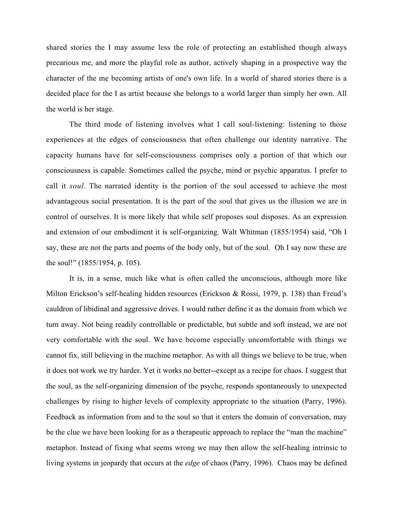shared stories the I may assume less the role of protecting an established though always precarious me, and more the playful role as author, actively shaping in a prospective way the character of the me becoming artists of one's own life. In a world of shared stories there is a decided place for the I as artist because she belongs to a world larger than simply her own. All the world is her stage.

The third mode of listening involves what I call soul-listening: listening to those experiences at the edges of consciousness that often challenge our identity narrative. The capacity humans have for self-consciousness comprises only a portion of that which our consciousness is capable. Sometimes called the psyche, mind or psychic apparatus. I prefer to call it *soul*. The narrated identity is the portion of the soul accessed to achieve the most advantageous social presentation. It is the part of the soul that gives us the illusion we are in control of ourselves. It is more likely that while self proposes soul disposes. As an expression and extension of our embodiment it is self-organizing. Walt Whitman (1855/1954) said, "Oh I say, these are not the parts and poems of the body only, but of the soul. Oh I say now these are the soul!" (1855/1954, p. 105).

It is, in a sense, much like what is often called the unconscious, although more like Milton Erickson's self-healing hidden resources (Erickson & Rossi, 1979, p. 138) than Freud's cauldron of libidinal and aggressive drives. I would rather define it as the domain from which we turn away. Not being readily controllable or predictable, but subtle and soft instead, we are not very comfortable with the soul. We have become especially uncomfortable with things we cannot fix, still believing in the machine metaphor. As with all things we believe to be true, when it does not work we try harder. Yet it works no better--except as a recipe for chaos. I suggest that the soul, as the self-organizing dimension of the psyche, responds spontaneously to unexpected challenges by rising to higher levels of complexity appropriate to the situation (Parry, 1996). Feedback as information from and to the soul so that it enters the domain of conversation, may be the clue we have been looking for as a therapeutic approach to replace the "man the machine" metaphor. Instead of fixing what seems wrong we may then allow the self-healing intrinsic to living systems in jeopardy that occurs at the *edge* of chaos (Parry, 1996). Chaos may be defined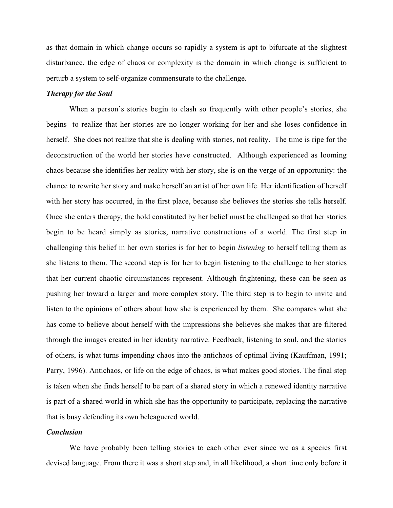as that domain in which change occurs so rapidly a system is apt to bifurcate at the slightest disturbance, the edge of chaos or complexity is the domain in which change is sufficient to perturb a system to self-organize commensurate to the challenge.

#### *Therapy for the Soul*

When a person's stories begin to clash so frequently with other people's stories, she begins to realize that her stories are no longer working for her and she loses confidence in herself. She does not realize that she is dealing with stories, not reality. The time is ripe for the deconstruction of the world her stories have constructed. Although experienced as looming chaos because she identifies her reality with her story, she is on the verge of an opportunity: the chance to rewrite her story and make herself an artist of her own life. Her identification of herself with her story has occurred, in the first place, because she believes the stories she tells herself. Once she enters therapy, the hold constituted by her belief must be challenged so that her stories begin to be heard simply as stories, narrative constructions of a world. The first step in challenging this belief in her own stories is for her to begin *listening* to herself telling them as she listens to them. The second step is for her to begin listening to the challenge to her stories that her current chaotic circumstances represent. Although frightening, these can be seen as pushing her toward a larger and more complex story. The third step is to begin to invite and listen to the opinions of others about how she is experienced by them. She compares what she has come to believe about herself with the impressions she believes she makes that are filtered through the images created in her identity narrative. Feedback, listening to soul, and the stories of others, is what turns impending chaos into the antichaos of optimal living (Kauffman, 1991; Parry, 1996). Antichaos, or life on the edge of chaos, is what makes good stories. The final step is taken when she finds herself to be part of a shared story in which a renewed identity narrative is part of a shared world in which she has the opportunity to participate, replacing the narrative that is busy defending its own beleaguered world.

# *Conclusion*

We have probably been telling stories to each other ever since we as a species first devised language. From there it was a short step and, in all likelihood, a short time only before it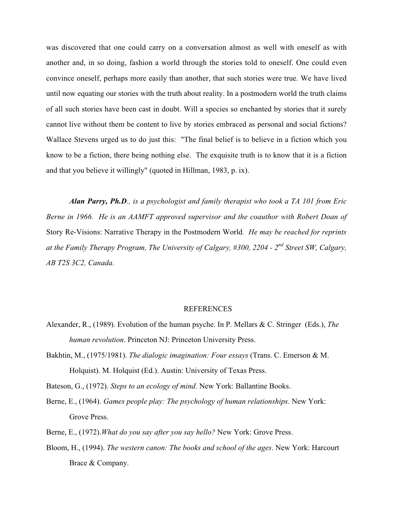was discovered that one could carry on a conversation almost as well with oneself as with another and, in so doing, fashion a world through the stories told to oneself. One could even convince oneself, perhaps more easily than another, that such stories were true. We have lived until now equating our stories with the truth about reality. In a postmodern world the truth claims of all such stories have been cast in doubt. Will a species so enchanted by stories that it surely cannot live without them be content to live by stories embraced as personal and social fictions? Wallace Stevens urged us to do just this: "The final belief is to believe in a fiction which you know to be a fiction, there being nothing else. The exquisite truth is to know that it is a fiction and that you believe it willingly" (quoted in Hillman, 1983, p. ix).

*Alan Parry, Ph.D., is a psychologist and family therapist who took a TA 101 from Eric Berne in 1966. He is an AAMFT approved supervisor and the coauthor with Robert Doan of* Story Re-Visions: Narrative Therapy in the Postmodern World*. He may be reached for reprints at the Family Therapy Program, The University of Calgary, #300, 2204 - 2nd Street SW, Calgary, AB T2S 3C2, Canada.*

### REFERENCES

- Alexander, R., (1989). Evolution of the human psyche. In P. Mellars & C. Stringer (Eds.), *The human revolution*. Princeton NJ: Princeton University Press.
- Bakhtin, M., (1975/1981). *The dialogic imagination: Four essays* (Trans. C. Emerson & M. Holquist). M. Holquist (Ed.). Austin: University of Texas Press.

Bateson, G., (1972). *Steps to an ecology of mind*. New York: Ballantine Books.

- Berne, E., (1964). *Games people play: The psychology of human relationships*. New York: Grove Press.
- Berne, E., (1972).*What do you say after you say hello?* New York: Grove Press.
- Bloom, H., (1994). *The western canon: The books and school of the ages*. New York: Harcourt Brace & Company.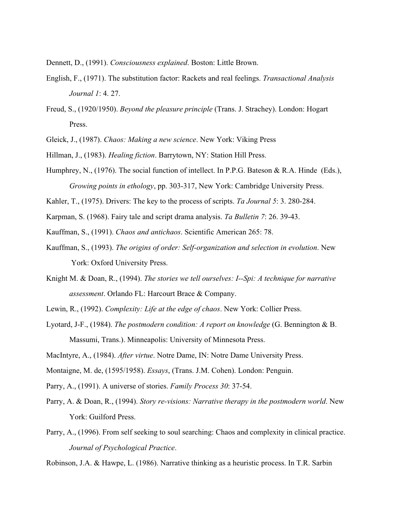Dennett, D., (1991). *Consciousness explained*. Boston: Little Brown.

- English, F., (1971). The substitution factor: Rackets and real feelings. *Transactional Analysis Journal 1*: 4. 27.
- Freud, S., (1920/1950). *Beyond the pleasure principle* (Trans. J. Strachey). London: Hogart Press.
- Gleick, J., (1987). *Chaos: Making a new science*. New York: Viking Press
- Hillman, J., (1983). *Healing fiction*. Barrytown, NY: Station Hill Press.
- Humphrey, N., (1976). The social function of intellect. In P.P.G. Bateson & R.A. Hinde (Eds.), *Growing points in ethology*, pp. 303-317, New York: Cambridge University Press.

Kahler, T., (1975). Drivers: The key to the process of scripts. *Ta Journal 5*: 3. 280-284.

Karpman, S. (1968). Fairy tale and script drama analysis. *Ta Bulletin 7*: 26. 39-43.

Kauffman, S., (1991). *Chaos and antichaos*. Scientific American 265: 78.

- Kauffman, S., (1993). *The origins of order: Self-organization and selection in evolution*. New York: Oxford University Press.
- Knight M. & Doan, R., (1994). *The stories we tell ourselves: I--Spi: A technique for narrative assessment*. Orlando FL: Harcourt Brace & Company.

Lewin, R., (1992). *Complexity: Life at the edge of chaos*. New York: Collier Press.

Lyotard, J-F., (1984). *The postmodern condition: A report on knowledge* (G. Bennington & B. Massumi, Trans.). Minneapolis: University of Minnesota Press.

- Parry, A., (1991). A universe of stories. *Family Process 30*: 37-54.
- Parry, A. & Doan, R., (1994). *Story re-visions: Narrative therapy in the postmodern world*. New York: Guilford Press.
- Parry, A., (1996). From self seeking to soul searching: Chaos and complexity in clinical practice. *Journal of Psychological Practice*.

Robinson, J.A. & Hawpe, L. (1986). Narrative thinking as a heuristic process. In T.R. Sarbin

MacIntyre, A., (1984). *After virtue*. Notre Dame, IN: Notre Dame University Press.

Montaigne, M. de, (1595/1958). *Essays*, (Trans. J.M. Cohen). London: Penguin.